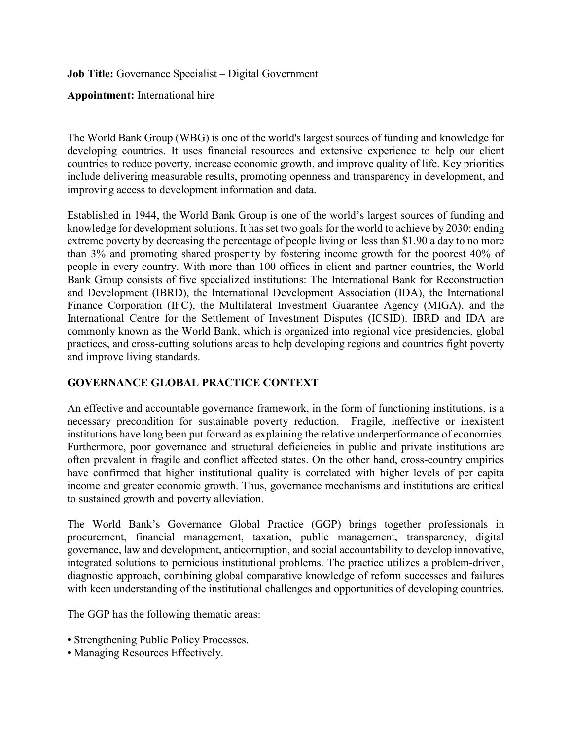**Job Title:** Governance Specialist – Digital Government

**Appointment:** International hire

The World Bank Group (WBG) is one of the world's largest sources of funding and knowledge for developing countries. It uses financial resources and extensive experience to help our client countries to reduce poverty, increase economic growth, and improve quality of life. Key priorities include delivering measurable results, promoting openness and transparency in development, and improving access to development information and data.

Established in 1944, the World Bank Group is one of the world's largest sources of funding and knowledge for development solutions. It has set two goals for the world to achieve by 2030: ending extreme poverty by decreasing the percentage of people living on less than \$1.90 a day to no more than 3% and promoting shared prosperity by fostering income growth for the poorest 40% of people in every country. With more than 100 offices in client and partner countries, the World Bank Group consists of five specialized institutions: The International Bank for Reconstruction and Development (IBRD), the International Development Association (IDA), the International Finance Corporation (IFC), the Multilateral Investment Guarantee Agency (MIGA), and the International Centre for the Settlement of Investment Disputes (ICSID). IBRD and IDA are commonly known as the World Bank, which is organized into regional vice presidencies, global practices, and cross-cutting solutions areas to help developing regions and countries fight poverty and improve living standards.

## **GOVERNANCE GLOBAL PRACTICE CONTEXT**

An effective and accountable governance framework, in the form of functioning institutions, is a necessary precondition for sustainable poverty reduction. Fragile, ineffective or inexistent institutions have long been put forward as explaining the relative underperformance of economies. Furthermore, poor governance and structural deficiencies in public and private institutions are often prevalent in fragile and conflict affected states. On the other hand, cross-country empirics have confirmed that higher institutional quality is correlated with higher levels of per capita income and greater economic growth. Thus, governance mechanisms and institutions are critical to sustained growth and poverty alleviation.

The World Bank's Governance Global Practice (GGP) brings together professionals in procurement, financial management, taxation, public management, transparency, digital governance, law and development, anticorruption, and social accountability to develop innovative, integrated solutions to pernicious institutional problems. The practice utilizes a problem-driven, diagnostic approach, combining global comparative knowledge of reform successes and failures with keen understanding of the institutional challenges and opportunities of developing countries.

The GGP has the following thematic areas:

- Strengthening Public Policy Processes.
- Managing Resources Effectively.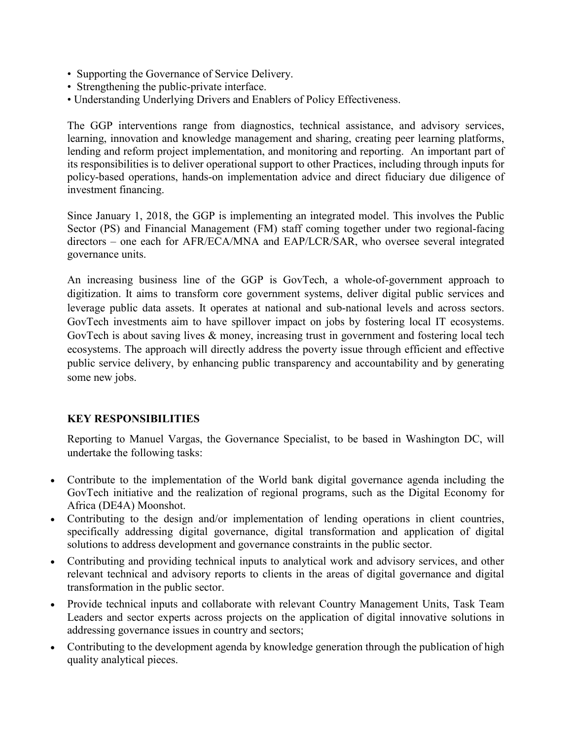- Supporting the Governance of Service Delivery.
- Strengthening the public-private interface.
- Understanding Underlying Drivers and Enablers of Policy Effectiveness.

The GGP interventions range from diagnostics, technical assistance, and advisory services, learning, innovation and knowledge management and sharing, creating peer learning platforms, lending and reform project implementation, and monitoring and reporting. An important part of its responsibilities is to deliver operational support to other Practices, including through inputs for policy-based operations, hands-on implementation advice and direct fiduciary due diligence of investment financing.

Since January 1, 2018, the GGP is implementing an integrated model. This involves the Public Sector (PS) and Financial Management (FM) staff coming together under two regional-facing directors – one each for AFR/ECA/MNA and EAP/LCR/SAR, who oversee several integrated governance units.

An increasing business line of the GGP is GovTech, a whole-of-government approach to digitization. It aims to transform core government systems, deliver digital public services and leverage public data assets. It operates at national and sub-national levels and across sectors. GovTech investments aim to have spillover impact on jobs by fostering local IT ecosystems. GovTech is about saving lives & money, increasing trust in government and fostering local tech ecosystems. The approach will directly address the poverty issue through efficient and effective public service delivery, by enhancing public transparency and accountability and by generating some new jobs.

## **KEY RESPONSIBILITIES**

Reporting to Manuel Vargas, the Governance Specialist, to be based in Washington DC, will undertake the following tasks:

- Contribute to the implementation of the World bank digital governance agenda including the GovTech initiative and the realization of regional programs, such as the Digital Economy for Africa (DE4A) Moonshot.
- Contributing to the design and/or implementation of lending operations in client countries, specifically addressing digital governance, digital transformation and application of digital solutions to address development and governance constraints in the public sector.
- Contributing and providing technical inputs to analytical work and advisory services, and other relevant technical and advisory reports to clients in the areas of digital governance and digital transformation in the public sector.
- Provide technical inputs and collaborate with relevant Country Management Units, Task Team Leaders and sector experts across projects on the application of digital innovative solutions in addressing governance issues in country and sectors;
- Contributing to the development agenda by knowledge generation through the publication of high quality analytical pieces.